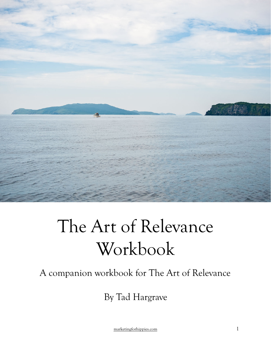

# The Art of Relevance Workbook

#### A companion workbook for The Art of Relevance

By Tad Hargrave

[marketingforhippies.com](http://marketingforhippies.com) 1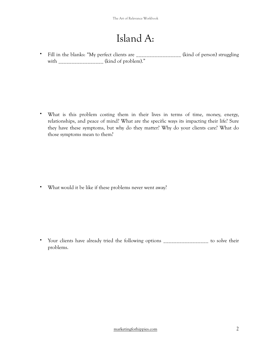## Island A:

• Fill in the blanks: "My perfect clients are (kind of person) struggling with  $\qquad \qquad$  (kind of problem)."

• What is this problem costing them in their lives in terms of time, money, energy, relationships, and peace of mind? What are the specific ways its impacting their life? Sure they have these symptoms, but why do they matter? Why do your clients care? What do those symptoms mean to them?

• What would it be like if these problems never went away?

• Your clients have already tried the following options \_\_\_\_\_\_\_\_\_\_\_\_\_\_\_\_\_\_ to solve their problems.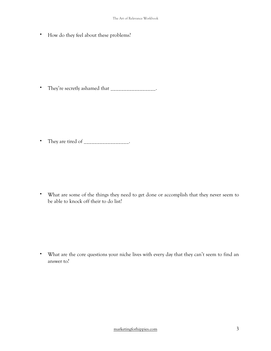• How do they feel about these problems?

• They're secretly ashamed that \_\_\_\_\_\_\_\_\_\_\_\_\_\_\_\_\_.

• They are tired of \_\_\_\_\_\_\_\_\_\_\_\_\_\_\_\_.

• What are some of the things they need to get done or accomplish that they never seem to be able to knock off their to do list?

• What are the core questions your niche lives with every day that they can't seem to find an answer to?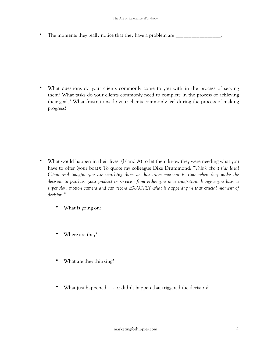• The moments they really notice that they have a problem are  $\frac{1}{\sqrt{2}}$ 

What questions do your clients commonly come to you with in the process of serving them? What tasks do your clients commonly need to complete in the process of achieving their goals? What frustrations do your clients commonly feel during the process of making progress?

- What would happen in their lives (Island A) to let them know they were needing what you have to offer (your boat)? To quote my colleague Dike Drummond: "*Think about this Ideal Client and imagine you are watching them at that exact moment in time when they make the decision to purchase your product or service - from either you or a competitor. Imagine you have a*  super slow motion camera and can record EXACTLY what is happening in that crucial moment of *decision*."
	- What is going on?
	- Where are they?
	- What are they thinking?
	- What just happened . . . or didn't happen that triggered the decision?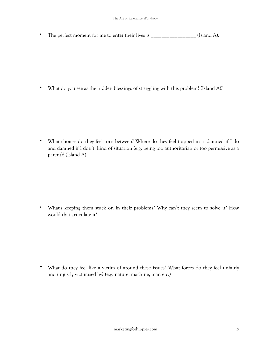• The perfect moment for me to enter their lives is \_\_\_\_\_\_\_\_\_\_\_\_\_\_\_\_\_\_\_\_ (Island A).

• What do you see as the hidden blessings of struggling with this problem? (Island A)?

• What choices do they feel torn between? Where do they feel trapped in a 'damned if I do and damned if I don't' kind of situation (e.g. being too authoritarian or too permissive as a parent)? (Island A)

• What's keeping them stuck on in their problems? Why can't they seem to solve it? How would that articulate it?

• What do they feel like a victim of around these issues? What forces do they feel unfairly and unjustly victimized by? (e.g. nature, machine, man etc.)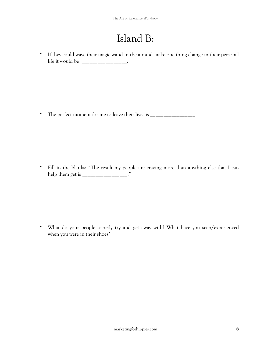## Island B:

• If they could wave their magic wand in the air and make one thing change in their personal life it would be  $\qquad \qquad \ldots$ 

• The perfect moment for me to leave their lives is \_\_\_\_\_\_\_\_\_\_\_\_\_\_\_\_\_.

• Fill in the blanks: "The result my people are craving more than anything else that I can help them get is \_\_\_\_\_\_\_\_\_\_\_\_\_\_\_\_."

• What do your people secretly try and get away with? What have you seen/experienced when you were in their shoes?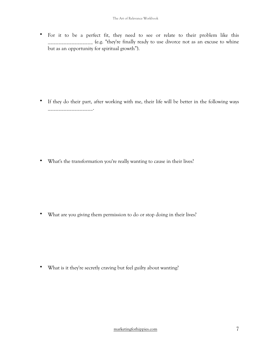• For it to be a perfect fit, they need to see or relate to their problem like this \_\_\_\_\_\_\_\_\_\_\_\_\_\_\_ (e.g. "they're finally ready to use divorce not as an excuse to whine but as an opportunity for spiritual growth").

• If they do their part, after working with me, their life will be better in the following ways \_\_\_\_\_\_\_\_\_\_\_\_\_\_\_\_\_.

• What's the transformation you're really wanting to cause in their lives?

• What are you giving them permission to do or stop doing in their lives?

• What is it they're secretly craving but feel guilty about wanting?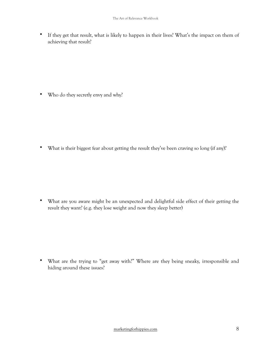• If they get that result, what is likely to happen in their lives? What's the impact on them of achieving that result?

• Who do they secretly envy and why?

• What is their biggest fear about getting the result they've been craving so long (if any)?

• What are you aware might be an unexpected and delightful side effect of their getting the result they want? (e.g. they lose weight and now they sleep better)

• What are the trying to "get away with?" Where are they being sneaky, irresponsible and hiding around these issues?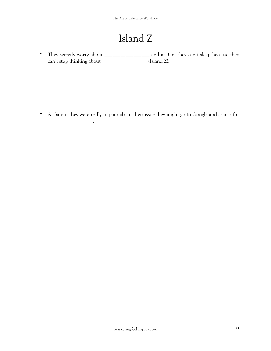## Island Z

• They secretly worry about \_\_\_\_\_\_\_\_\_\_\_\_\_\_\_\_\_\_\_ and at 3am they can't sleep because they can't stop thinking about \_\_\_\_\_\_\_\_\_\_\_\_\_\_\_\_\_ (Island Z).

• At 3am if they were really in pain about their issue they might go to Google and search for

\_\_\_\_\_\_\_\_\_\_\_\_\_\_\_\_\_.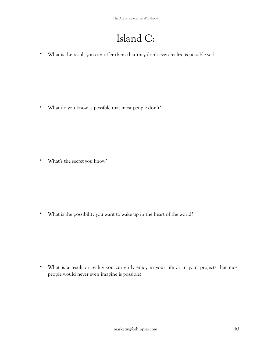## Island C:

• What is the result you can offer them that they don't even realize is possible yet?

• What do you know is possible that most people don't?

• What's the secret you know?

• What is the possibility you want to wake up in the heart of the world?

• What is a result or reality you currently enjoy in your life or in your projects that most people would never even imagine is possible?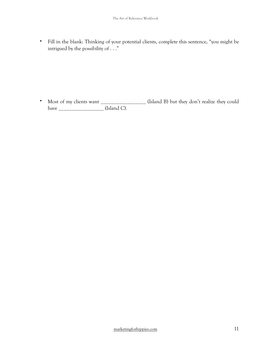• Fill in the blank: Thinking of your potential clients, complete this sentence, "you might be intrigued by the possibility of . . ."

• Most of my clients want \_\_\_\_\_\_\_\_\_\_\_\_\_\_\_\_\_\_ (Island B) but they don't realize they could have \_\_\_\_\_\_\_\_\_\_\_\_\_\_\_\_\_ (Island C).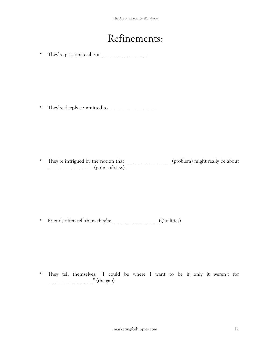#### Refinements:

• They're passionate about \_\_\_\_\_\_\_\_\_\_\_\_\_\_\_\_\_\_\_.

• They're deeply committed to \_\_\_\_\_\_\_\_\_\_\_\_\_\_\_\_\_\_.

• They're intrigued by the notion that \_\_\_\_\_\_\_\_\_\_\_\_\_\_\_\_\_ (problem) might really be about \_\_\_\_\_\_\_\_\_\_\_\_\_\_\_\_\_ (point of view).

• Friends often tell them they're \_\_\_\_\_\_\_\_\_\_\_\_\_\_\_\_\_\_\_ (Qualities)

• They tell themselves, "I could be where I want to be if only it weren't for \_\_\_\_\_\_\_\_\_\_\_\_\_\_\_\_\_" (the gap)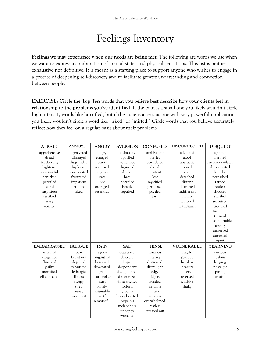#### Feelings Inventory

**Feelings we may experience when our needs are being met.** The following are words we use when we want to express a combination of mental states and physical sensations. This list is neither exhaustive nor definitive. It is meant as a starting place to support anyone who wishes to engage in a process of deepening self-discovery and to facilitate greater understanding and connection between people.

**EXERCISE: Circle the Top Ten words that you believe best describe how your clients feel in relationship to the problems you've identified.** If the pain is a small one you likely wouldn't circle high intensity words like horrified, but if the issue is a serious one with very powerful implications you likely wouldn't circle a word like "irked" or "miffed." Circle words that you believe accurately reflect how they feel on a regular basis about their problems.

| <b>AFRAID</b>      | <b>ANNOYED</b> | <b>ANGRY</b> | <b>AVERSION</b> | <b>CONFUSED</b> | <b>DISCONNECTED</b> | <b>DISQUIET</b> |
|--------------------|----------------|--------------|-----------------|-----------------|---------------------|-----------------|
| apprehensive       | aggravated     | angry        | animosity       | ambivalent      | alienated           | agitated        |
| dread              | dismayed       | enraged      | appalled        | baffled         | aloof               | alarmed         |
| foreboding         | disgruntled    | furious      | contempt        | bewildered      | apathetic           | discombobulated |
| frightened         | displeased     | incensed     | disgusted       | dazed           | bored               | disconcerted    |
| mistrustful        | exasperated    | indignant    | dislike         | hesitant        | cold                | disturbed       |
| panicked           | frustrated     | irate        | hate            | lost            | detached            | perturbed       |
| petrified          | impatient      | livid        | horrified       | mystified       | distant             | rattled         |
| scared             | irritated      | outraged     | hostile         | perplexed       | distracted          | restless        |
| suspicious         | irked          | resentful    | repulsed        | puzzled         | indifferent         | shocked         |
| terrified          |                |              |                 | torn            | numb                | startled        |
| wary               |                |              |                 |                 | removed             | surprised       |
| worried            |                |              |                 |                 | withdrawn           | troubled        |
|                    |                |              |                 |                 |                     | turbulent       |
|                    |                |              |                 |                 |                     | turmoil         |
|                    |                |              |                 |                 |                     | uncomfortable   |
|                    |                |              |                 |                 |                     | uneasy          |
|                    |                |              |                 |                 |                     | unnerved        |
|                    |                |              |                 |                 |                     | unsettled       |
|                    |                |              |                 |                 |                     | upset           |
| <b>EMBARRASSED</b> | <b>FATIGUE</b> | PAIN         | <b>SAD</b>      | <b>TENSE</b>    | <b>VULNERABLE</b>   | <b>YEARNING</b> |
| ashamed            | beat           | agony        | depressed       | anxious         | fragile             | envious         |
| chagrined          | burnt out      | anguished    | dejected        | cranky          | guarded             | jealous         |
| flustered          | depleted       | bereaved     | despair         | distressed      | helpless            | longing         |
| guilty             | exhausted      | devastated   | despondent      | distraught      | insecure            | nostalgic       |
| mortified          | lethargic      | grief        | disappointed    | edgy            | leery               | pining          |
| self-conscious     | listless       | heartbroken  | discouraged     | fidgety         | reserved            | wistful         |
|                    | sleepy         | hurt         | disheartened    | frazzled        | sensitive           |                 |
|                    | tired          | lonely       | forlorn         | irritable       | shaky               |                 |
|                    | weary          | miserable    | gloomy          | jittery         |                     |                 |
|                    | worn out       | regretful    | heavy hearted   | nervous         |                     |                 |
|                    |                | remorseful   | hopeless        | overwhelmed     |                     |                 |
|                    |                |              | melancholy      | restless        |                     |                 |
|                    |                |              | unhappy         | stressed out    |                     |                 |
|                    |                |              | wretched        |                 |                     |                 |